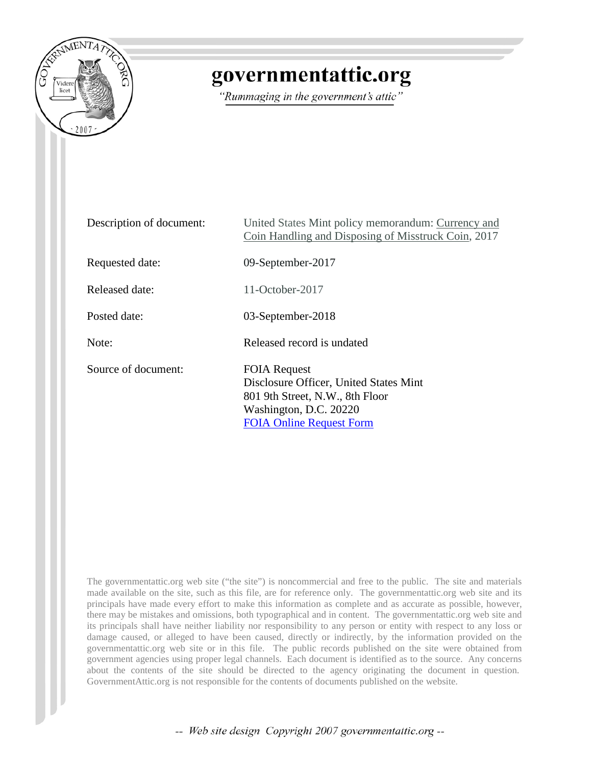

## governmentattic.org

"Rummaging in the government's attic"

| Description of document: | United States Mint policy memorandum: Currency and<br>Coin Handling and Disposing of Misstruck Coin, 2017                                                     |
|--------------------------|---------------------------------------------------------------------------------------------------------------------------------------------------------------|
| Requested date:          | 09-September-2017                                                                                                                                             |
| Released date:           | $11$ -October-2017                                                                                                                                            |
| Posted date:             | 03-September-2018                                                                                                                                             |
| Note:                    | Released record is undated                                                                                                                                    |
| Source of document:      | <b>FOIA Request</b><br>Disclosure Officer, United States Mint<br>801 9th Street, N.W., 8th Floor<br>Washington, D.C. 20220<br><b>FOIA Online Request Form</b> |

The governmentattic.org web site ("the site") is noncommercial and free to the public. The site and materials made available on the site, such as this file, are for reference only. The governmentattic.org web site and its principals have made every effort to make this information as complete and as accurate as possible, however, there may be mistakes and omissions, both typographical and in content. The governmentattic.org web site and its principals shall have neither liability nor responsibility to any person or entity with respect to any loss or damage caused, or alleged to have been caused, directly or indirectly, by the information provided on the governmentattic.org web site or in this file. The public records published on the site were obtained from government agencies using proper legal channels. Each document is identified as to the source. Any concerns about the contents of the site should be directed to the agency originating the document in question. GovernmentAttic.org is not responsible for the contents of documents published on the website.

-- Web site design Copyright 2007 governmentattic.org --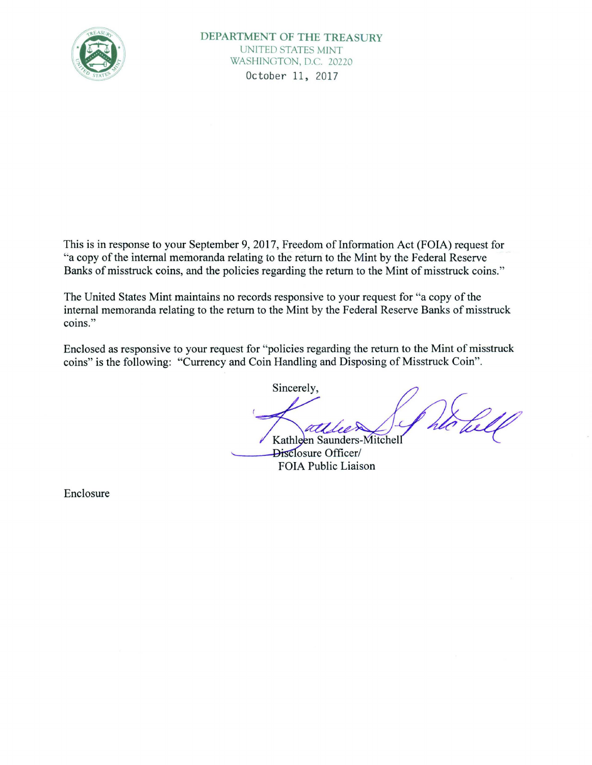

This is in response to your September 9, 2017, Freedom of Information Act (FOIA) request for "a copy of the internal memoranda relating to the return to the Mint by the Federal Reserve Banks of misstruck coins, and the policies regarding the return to the Mint of misstruck coins."

The United States Mint maintains no records responsive to your request for "a copy of the internal memoranda relating to the return to the Mint by the Federal Reserve Banks of misstruck coins."

Enclosed as responsive to your request for "policies regarding the return to the Mint of misstruck coins" is the following: "Currency and Coin Handling and Disposing of Misstruck Coin" .

Sincerely,

Kathleen Saunders-Mitchell<br>Disclosure Officer/ FOIA Public Liaison

Enclosure